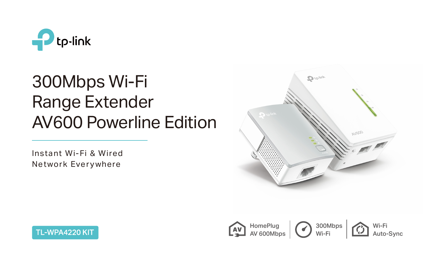

# 300Mbps Wi-Fi Range Extender AV600 Powerline Edition

Instant Wi-Fi & Wired Network Everywhere



TL-WPA4220 KIT



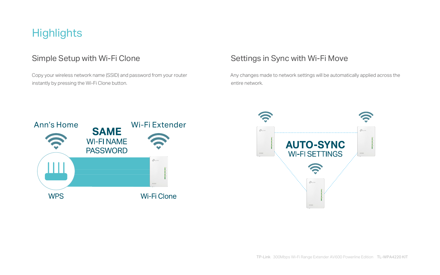# **Highlights**

 Copy your wireless network name (SSID) and password from your router instantly by pressing the Wi-Fi Clone button.

### Simple Setup with Wi-Fi Clone Sumple Settings in Sync with Wi-Fi Move

Any changes made to network settings will be automatically applied across the



entire network.



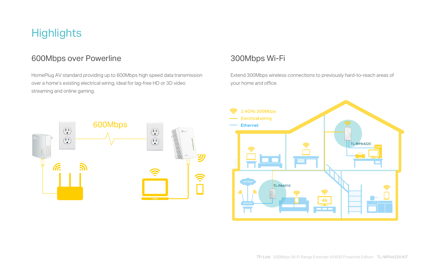HomePlug AV standard providing up to 600Mbps high speed data transmission over a home's existing electrical wiring, ideal for lag-free HD or 3D video streaming and online gaming.

Extend 300Mbps wireless connections to previously hard-to-reach areas of your home and office.

# **Highlights**

#### 600Mbps over Powerline 300Mbps Wi-Fi



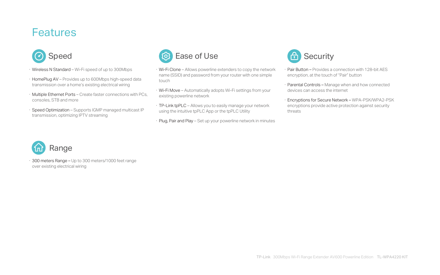- · Wireless N Standard Wi-Fi speed of up to 300Mbps
- · HomePlug AV Provides up to 600Mbps high-speed data transmission over a home's existing electrical wiring
- · Multiple Ethernet Ports Create faster connections with PCs, consoles, STB and more
- · Speed Optimization Supports IGMP managed multicast IP transmission, optimizing IPTV streaming

## **Features**



- · Wi-Fi Clone Allows powerline extenders to copy the network name (SSID) and password from your router with one simple touch
- · Wi-Fi Move Automatically adopts Wi-Fi settings from your existing powerline network
- · TP-Link tpPLC Allows you to easily manage your network using the intuitive tpPLC App or the tpPLC Utility
- · Plug, Pair and Play Set up your powerline network in minutes



- · Pair Button Provides a connection with 128-bit AES encryption, at the touch of "Pair" button
- · Parental Controls Manage when and how connected devices can access the internet
- · Encryptions for Secure Network WPA-PSK/WPA2-PSK encryptions provide active protection against security threats



· 300 meters Range – Up to 300 meters/1000 feet range over existing electrical wiring

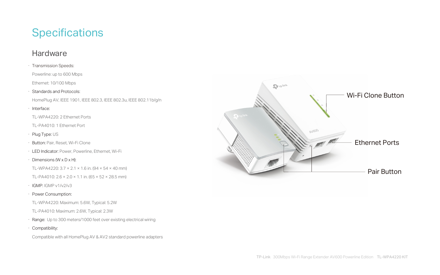# **Specifications**

#### Hardware



- · Transmission Speeds:
- Powerline: up to 600 Mbps
- Ethernet: 10/100 Mbps
- · Standards and Protocols:
- HomePlug AV, IEEE 1901, IEEE 802.3, IEEE 802.3u, IEEE 802.11b/g/n
- · Interface:
- TL-WPA4220: 2 Ethernet Ports
- TL-PA4010: 1 Ethernet Port
- · Plug Type: US
- · Button: Pair, Reset, Wi-Fi Clone
- · LED Indicator: Power, Powerline, Ethernet, Wi-Fi
- $\cdot$  Dimensions (W x D x H):
- TL-WPA4220:  $3.7 \times 2.1 \times 1.6$  in. (94  $\times$  54  $\times$  40 mm)
- TL-PA4010:  $2.6 \times 2.0 \times 1.1$  in.  $(65 \times 52 \times 28.5$  mm)
- · IGMP: IGMP v1/v2/v3
- · Power Consumption:
- TL-WPA4220: Maximum: 5.6W, Typical: 5.2W
- TL-PA4010: Maximum: 2.6W, Typical: 2.3W
- · Range: Up to 300 meters/1000 feet over existing electrical wiring
- · Compatibility:

Compatible with all HomePlug AV & AV2 standard powerline adapters